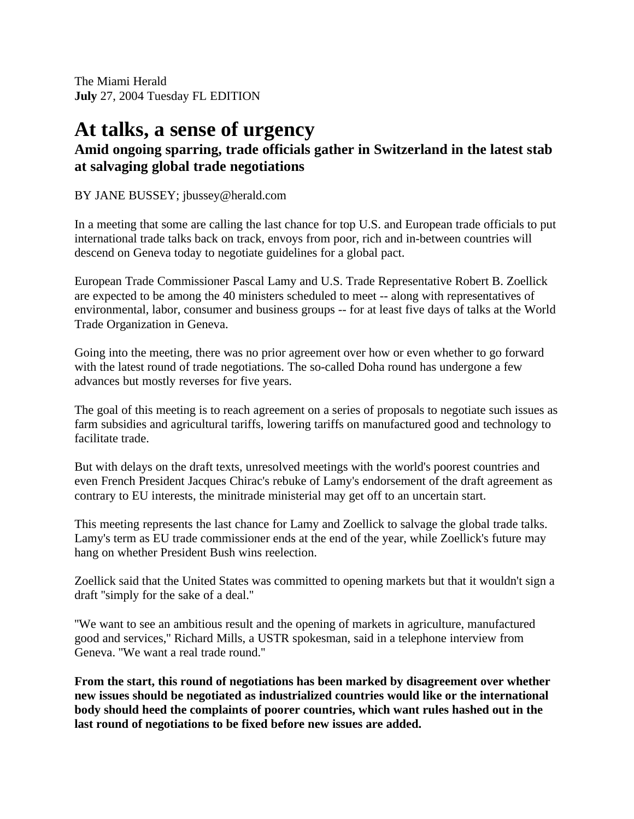The Miami Herald **July** 27, 2004 Tuesday FL EDITION

## **At talks, a sense of urgency**

## **Amid ongoing sparring, trade officials gather in Switzerland in the latest stab at salvaging global trade negotiations**

## BY JANE BUSSEY; jbussey@herald.com

In a meeting that some are calling the last chance for top U.S. and European trade officials to put international trade talks back on track, envoys from poor, rich and in-between countries will descend on Geneva today to negotiate guidelines for a global pact.

European Trade Commissioner Pascal Lamy and U.S. Trade Representative Robert B. Zoellick are expected to be among the 40 ministers scheduled to meet -- along with representatives of environmental, labor, consumer and business groups -- for at least five days of talks at the World Trade Organization in Geneva.

Going into the meeting, there was no prior agreement over how or even whether to go forward with the latest round of trade negotiations. The so-called Doha round has undergone a few advances but mostly reverses for five years.

The goal of this meeting is to reach agreement on a series of proposals to negotiate such issues as farm subsidies and agricultural tariffs, lowering tariffs on manufactured good and technology to facilitate trade.

But with delays on the draft texts, unresolved meetings with the world's poorest countries and even French President Jacques Chirac's rebuke of Lamy's endorsement of the draft agreement as contrary to EU interests, the minitrade ministerial may get off to an uncertain start.

This meeting represents the last chance for Lamy and Zoellick to salvage the global trade talks. Lamy's term as EU trade commissioner ends at the end of the year, while Zoellick's future may hang on whether President Bush wins reelection.

Zoellick said that the United States was committed to opening markets but that it wouldn't sign a draft ''simply for the sake of a deal.''

''We want to see an ambitious result and the opening of markets in agriculture, manufactured good and services,'' Richard Mills, a USTR spokesman, said in a telephone interview from Geneva. ''We want a real trade round.''

**From the start, this round of negotiations has been marked by disagreement over whether new issues should be negotiated as industrialized countries would like or the international body should heed the complaints of poorer countries, which want rules hashed out in the last round of negotiations to be fixed before new issues are added.**